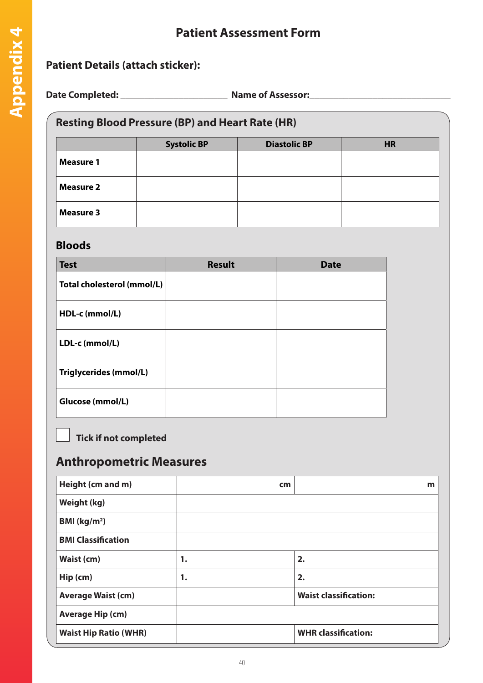## **Patient Assessment Form**

#### **Patient Details (attach sticker):**

**Date Completed: \_\_\_\_\_\_\_\_\_\_\_\_\_\_\_\_\_\_\_\_\_\_ Name of Assessor:\_\_\_\_\_\_\_\_\_\_\_\_\_\_\_\_\_\_\_\_\_\_\_\_\_\_\_\_\_**

#### **Resting Blood Pressure (BP) and Heart Rate (HR)**

|                  | <b>Systolic BP</b> | <b>Diastolic BP</b> | <b>HR</b> |
|------------------|--------------------|---------------------|-----------|
| <b>Measure 1</b> |                    |                     |           |
| <b>Measure 2</b> |                    |                     |           |
| <b>Measure 3</b> |                    |                     |           |

#### **Bloods**

| <b>Test</b>                | <b>Result</b> | <b>Date</b> |
|----------------------------|---------------|-------------|
| Total cholesterol (mmol/L) |               |             |
| HDL-c (mmol/L)             |               |             |
| LDL-c (mmol/L)             |               |             |
| Triglycerides (mmol/L)     |               |             |
| Glucose (mmol/L)           |               |             |

**Tick if not completed** 

### **Anthropometric Measures**

| Height (cm and m)            | cm | m                            |
|------------------------------|----|------------------------------|
| Weight (kg)                  |    |                              |
| BMI $(kg/m2)$                |    |                              |
| <b>BMI Classification</b>    |    |                              |
| Waist (cm)                   | 1. | 2.                           |
| Hip (cm)                     | 1. | 2.                           |
| <b>Average Waist (cm)</b>    |    | <b>Waist classification:</b> |
| <b>Average Hip (cm)</b>      |    |                              |
| <b>Waist Hip Ratio (WHR)</b> |    | <b>WHR classification:</b>   |